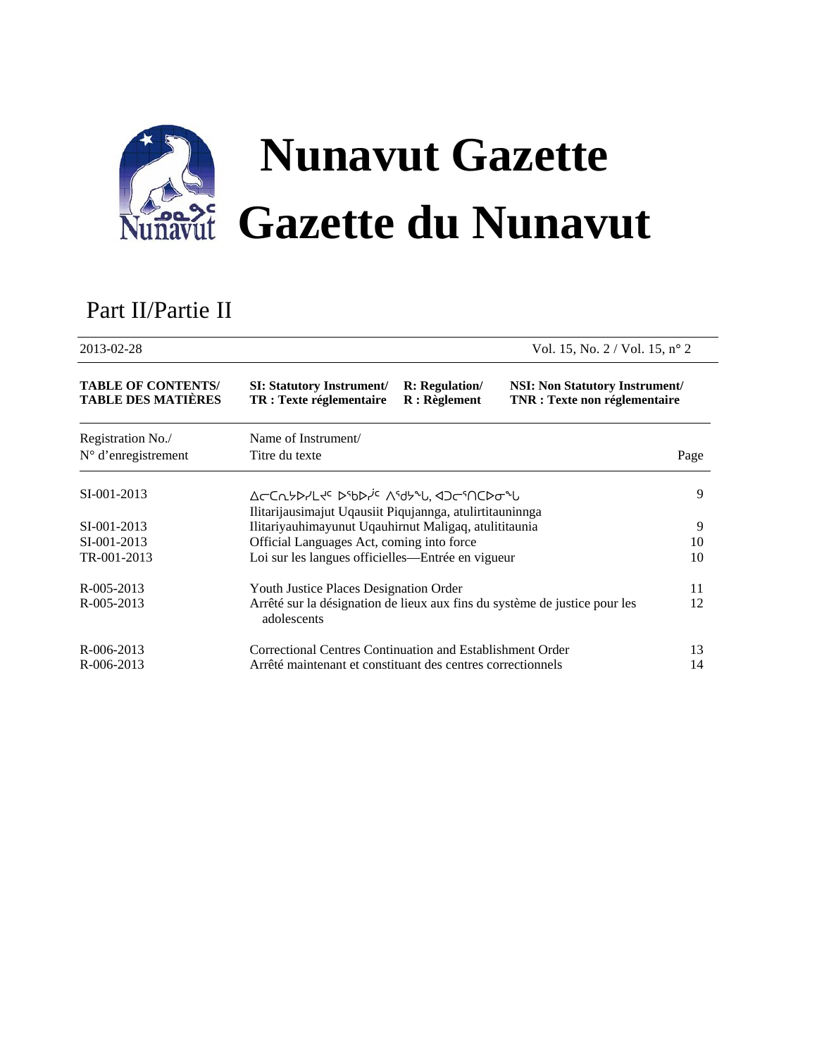

# Part II/Partie II

| 2013-02-28                                             |                                                                                                                |                                         | Vol. 15, No. $2 /$ Vol. 15, n° 2                                              |      |
|--------------------------------------------------------|----------------------------------------------------------------------------------------------------------------|-----------------------------------------|-------------------------------------------------------------------------------|------|
| <b>TABLE OF CONTENTS/</b><br><b>TABLE DES MATIÈRES</b> | <b>SI: Statutory Instrument/</b><br>TR : Texte réglementaire                                                   | <b>R:</b> Regulation/<br>$R:$ Règlement | <b>NSI:</b> Non Statutory Instrument/<br><b>TNR</b> : Texte non réglementaire |      |
| Registration No./<br>$N^{\circ}$ d'enregistrement      | Name of Instrument/<br>Titre du texte                                                                          |                                         |                                                                               | Page |
| SI-001-2013                                            | Δ⊂CΛ5D7Lt <sup>c</sup> DSbD7 <sup>ic</sup> ΛSd5ªl, <dcsncdσªl< td=""><td></td><td></td><td>9</td></dcsncdσªl<> |                                         |                                                                               | 9    |
|                                                        | Ilitarijausimajut Uqausiit Piqujannga, atulirtitauninnga                                                       |                                         |                                                                               |      |
| SI-001-2013                                            | Ilitariyauhimayunut Uqauhirnut Maligaq, atulititaunia                                                          |                                         |                                                                               | 9    |
| SI-001-2013                                            | Official Languages Act, coming into force                                                                      |                                         |                                                                               | 10   |
| TR-001-2013                                            | Loi sur les langues officielles—Entrée en vigueur                                                              |                                         |                                                                               | 10   |
| R-005-2013                                             | Youth Justice Places Designation Order                                                                         |                                         |                                                                               | 11   |
| R-005-2013                                             | Arrêté sur la désignation de lieux aux fins du système de justice pour les<br>adolescents                      |                                         |                                                                               | 12   |
| R-006-2013                                             | Correctional Centres Continuation and Establishment Order                                                      |                                         |                                                                               | 13   |
| R-006-2013                                             | Arrêté maintenant et constituant des centres correctionnels                                                    |                                         |                                                                               | 14   |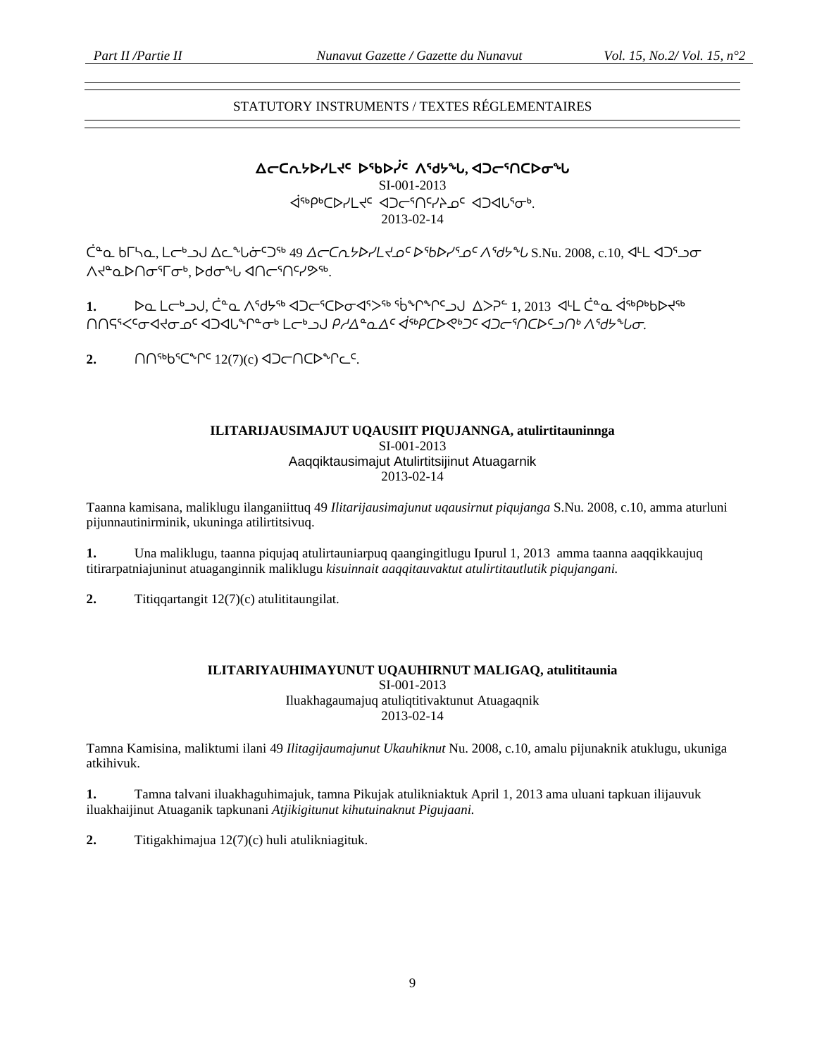# STATUTORY INSTRUMENTS / TEXTES RÉGLEMENTAIRES

**ᐃᓕᑕᕆᔭᐅᓯᒪᔪᑦ ᐅᖃᐅᓰᑦ ᐱᖁᔭᖓ, ᐊᑐᓕᕐᑎᑕᐅᓂᖓ** SI-001-2013 ᐋᖅᑭᒃᑕᐅᓯᒪᔪᑦ ᐊᑐᓕᕐᑎᑦᓯᔨᓄᑦ ᐊᑐᐊᒐᕐᓂᒃ. 2013-02-14

 ${\rm C}^{\alpha}$  ω bΓh ω. L σ<sup>6</sup> ω Δ ω <sup>ω</sup> ισ<sup>ε</sup> 49 Δ σ ω ελειλικίς Δεβελίας και δελικίας δ.Nu. 2008, c.10, < L < 105 ω σ <u></u>

**1.** ᐅᓇ ᒪᓕᒃᓗᒍ, ᑖᓐᓇ ᐱᖁᔭᖅ ᐊᑐᓕᕐᑕᐅᓂᐊᕐᐳᖅ ᖄᖏᖏᑦᓗᒍ ᐃᐳᕈᓪ 1, 2013 ᐊᒻᒪ ᑖᓐᓇ ᐋᖅᑭᒃᑲᐅᔪᖅ ᑎᑎᕋᕐᐸᑦᓂᐊᔪᓂᓄᑦ ᐊᑐᐊᒐᖏᓐᓂᒃ ᒪᓕᒃᓗᒍ *ᑭᓱᐃᓐᓇᐃᑦ ᐋᖅᑭᑕᐅᕙᒃᑐᑦ ᐊᑐᓕᕐᑎᑕᐅᑦᓗᑎᒃ ᐱᖁᔭᖓᓂ.* 

2. ∩∩<sup>5</sup>b<sup>5</sup>C<sup>\*</sup>r<sup>c</sup> 12(7)(c) 4D⊂∩CD<sup>\*</sup>rc<sup>c</sup>.

# **ILITARIJAUSIMAJUT UQAUSIIT PIQUJANNGA, atulirtitauninnga**  SI-001-2013 Aaqqiktausimajut Atulirtitsijinut Atuagarnik 2013-02-14

Taanna kamisana, maliklugu ilanganiittuq 49 *Ilitarijausimajunut uqausirnut piqujanga* S.Nu. 2008, c.10, amma aturluni pijunnautinirminik, ukuninga atilirtitsivuq.

**1.** Una maliklugu, taanna piqujaq atulirtauniarpuq qaangingitlugu Ipurul 1, 2013 amma taanna aaqqikkaujuq titirarpatniajuninut atuaganginnik maliklugu *kisuinnait aaqqitauvaktut atulirtitautlutik piqujangani.* 

**2.** Titiqqartangit 12(7)(c) atulititaungilat.

### **ILITARIYAUHIMAYUNUT UQAUHIRNUT MALIGAQ, atulititaunia**  SI-001-2013 Iluakhagaumajuq atuliqtitivaktunut Atuagaqnik 2013-02-14

Tamna Kamisina, maliktumi ilani 49 *Ilitagijaumajunut Ukauhiknut* Nu. 2008, c.10, amalu pijunaknik atuklugu, ukuniga atkihivuk.

**1.** Tamna talvani iluakhaguhimajuk, tamna Pikujak atulikniaktuk April 1, 2013 ama uluani tapkuan ilijauvuk iluakhaijinut Atuaganik tapkunani *Atjikigitunut kihutuinaknut Pigujaani.* 

**2.** Titigakhimajua 12(7)(c) huli atulikniagituk.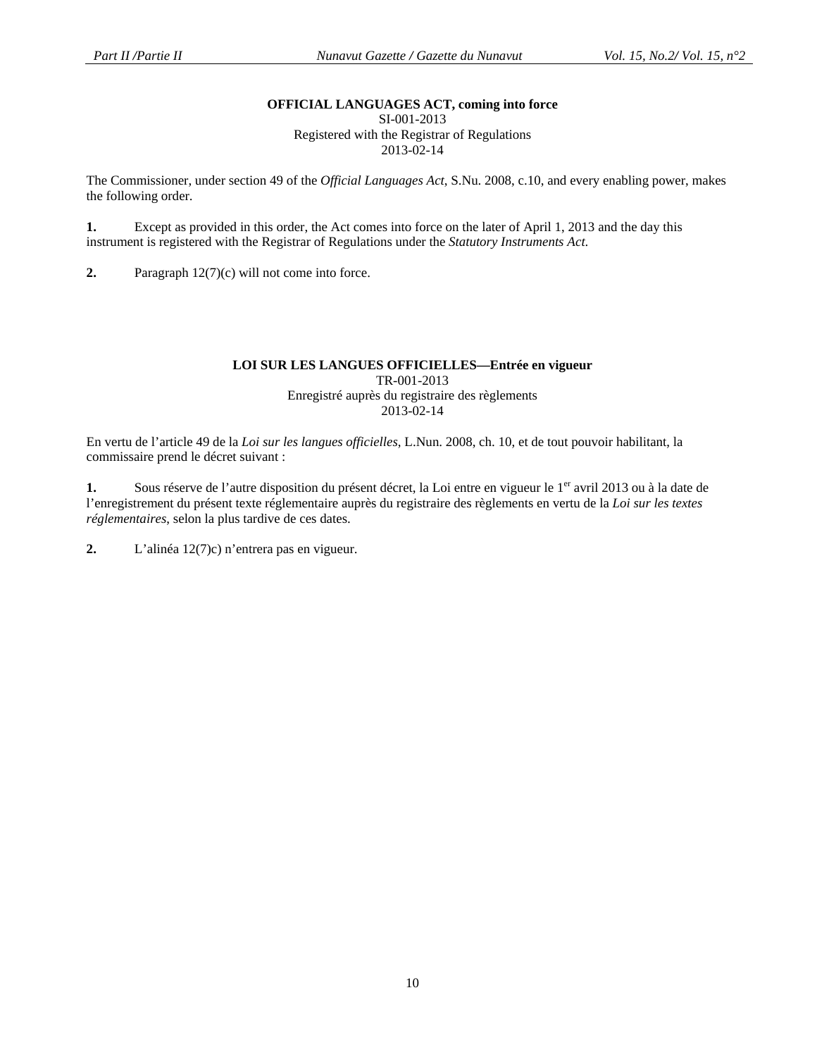# **OFFICIAL LANGUAGES ACT, coming into force**

SI-001-2013 Registered with the Registrar of Regulations 2013-02-14

The Commissioner, under section 49 of the *Official Languages Act*, S.Nu. 2008, c.10, and every enabling power, makes the following order.

**1.** Except as provided in this order, the Act comes into force on the later of April 1, 2013 and the day this instrument is registered with the Registrar of Regulations under the *Statutory Instruments Act*.

**2.** Paragraph 12(7)(c) will not come into force.

#### **LOI SUR LES LANGUES OFFICIELLES—Entrée en vigueur**  TR-001-2013 Enregistré auprès du registraire des règlements 2013-02-14

En vertu de l'article 49 de la *Loi sur les langues officielles*, L.Nun. 2008, ch. 10, et de tout pouvoir habilitant, la commissaire prend le décret suivant :

1. Sous réserve de l'autre disposition du présent décret, la Loi entre en vigueur le 1<sup>er</sup> avril 2013 ou à la date de l'enregistrement du présent texte réglementaire auprès du registraire des règlements en vertu de la *Loi sur les textes réglementaires*, selon la plus tardive de ces dates.

**2.** L'alinéa 12(7)c) n'entrera pas en vigueur.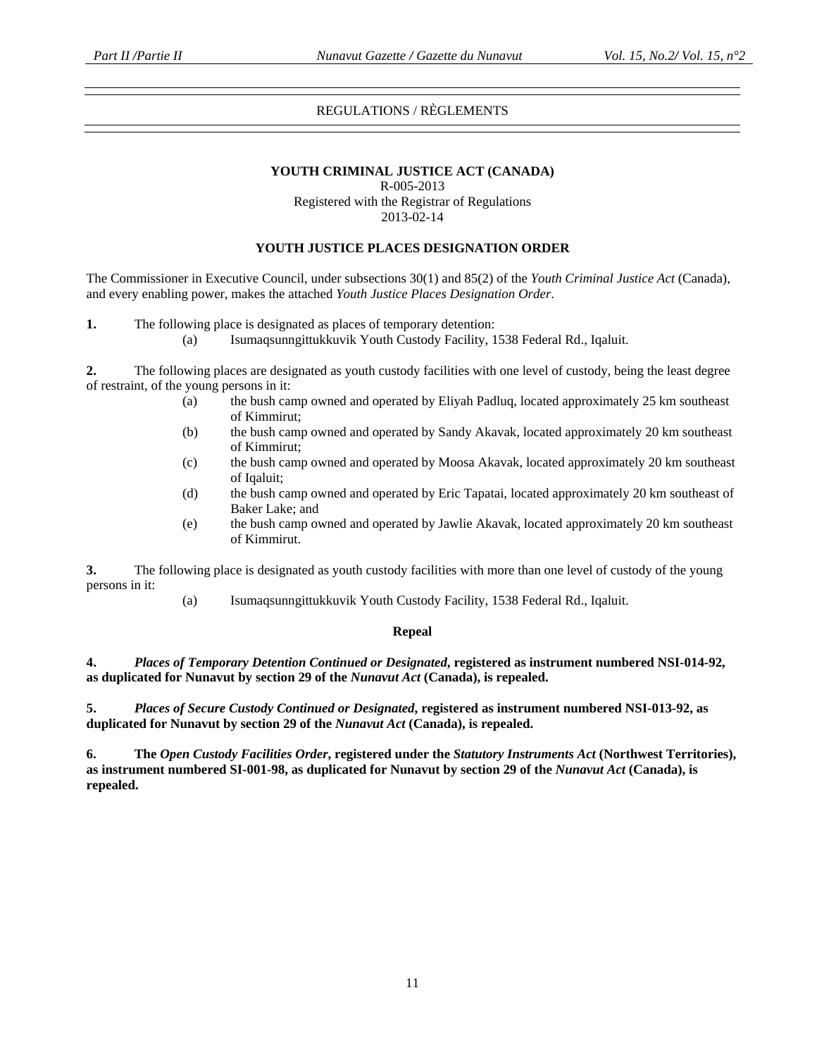# REGULATIONS / RÈGLEMENTS

#### **YOUTH CRIMINAL JUSTICE ACT (CANADA)**

R-005-2013

Registered with the Registrar of Regulations 2013-02-14

#### **YOUTH JUSTICE PLACES DESIGNATION ORDER**

The Commissioner in Executive Council, under subsections 30(1) and 85(2) of the *Youth Criminal Justice Act* (Canada), and every enabling power, makes the attached *Youth Justice Places Designation Order*.

**1.** The following place is designated as places of temporary detention:

(a) Isumaqsunngittukkuvik Youth Custody Facility, 1538 Federal Rd., Iqaluit.

**2.** The following places are designated as youth custody facilities with one level of custody, being the least degree of restraint, of the young persons in it:

- (a) the bush camp owned and operated by Eliyah Padluq, located approximately 25 km southeast of Kimmirut;
- (b) the bush camp owned and operated by Sandy Akavak, located approximately 20 km southeast of Kimmirut;
- (c) the bush camp owned and operated by Moosa Akavak, located approximately 20 km southeast of Iqaluit;
- (d) the bush camp owned and operated by Eric Tapatai, located approximately 20 km southeast of Baker Lake; and
- (e) the bush camp owned and operated by Jawlie Akavak, located approximately 20 km southeast of Kimmirut.

**3.** The following place is designated as youth custody facilities with more than one level of custody of the young persons in it:

(a) Isumaqsunngittukkuvik Youth Custody Facility, 1538 Federal Rd., Iqaluit.

#### **Repeal**

**4.** *Places of Temporary Detention Continued or Designated***, registered as instrument numbered NSI-014-92, as duplicated for Nunavut by section 29 of the** *Nunavut Act* **(Canada), is repealed.** 

**5.** *Places of Secure Custody Continued or Designated***, registered as instrument numbered NSI-013-92, as duplicated for Nunavut by section 29 of the** *Nunavut Act* **(Canada), is repealed.** 

**6. The** *Open Custody Facilities Order***, registered under the** *Statutory Instruments Act* **(Northwest Territories), as instrument numbered SI-001-98, as duplicated for Nunavut by section 29 of the** *Nunavut Act* **(Canada), is repealed.**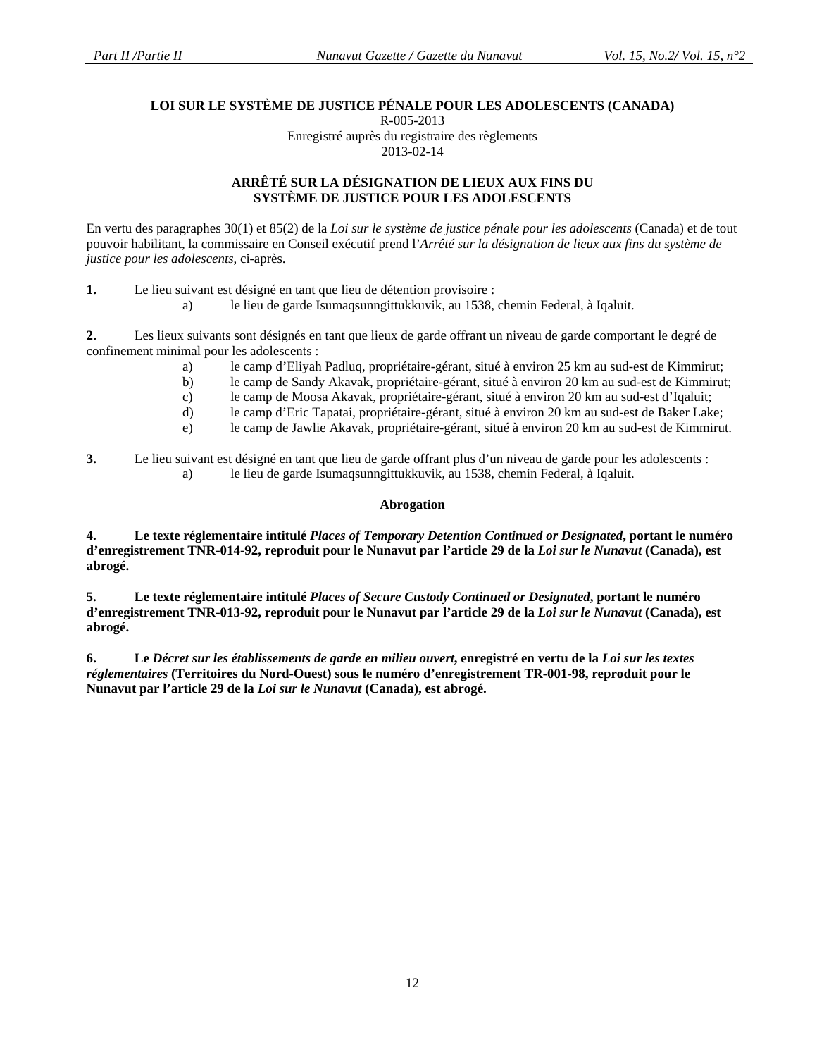#### **LOI SUR LE SYSTÈME DE JUSTICE PÉNALE POUR LES ADOLESCENTS (CANADA)**  R-005-2013

Enregistré auprès du registraire des règlements 2013-02-14

# **ARRÊTÉ SUR LA DÉSIGNATION DE LIEUX AUX FINS DU SYSTÈME DE JUSTICE POUR LES ADOLESCENTS**

En vertu des paragraphes 30(1) et 85(2) de la *Loi sur le système de justice pénale pour les adolescents* (Canada) et de tout pouvoir habilitant, la commissaire en Conseil exécutif prend l'*Arrêté sur la désignation de lieux aux fins du système de justice pour les adolescents*, ci-après.

**1.** Le lieu suivant est désigné en tant que lieu de détention provisoire :

a) le lieu de garde Isumaqsunngittukkuvik, au 1538, chemin Federal, à Iqaluit.

**2.** Les lieux suivants sont désignés en tant que lieux de garde offrant un niveau de garde comportant le degré de confinement minimal pour les adolescents :

- a) le camp d'Eliyah Padluq, propriétaire-gérant, situé à environ 25 km au sud-est de Kimmirut;
- b) le camp de Sandy Akavak, propriétaire-gérant, situé à environ 20 km au sud-est de Kimmirut;
- c) le camp de Moosa Akavak, propriétaire-gérant, situé à environ 20 km au sud-est d'Iqaluit;
- d) le camp d'Eric Tapatai, propriétaire-gérant, situé à environ 20 km au sud-est de Baker Lake;
- e) le camp de Jawlie Akavak, propriétaire-gérant, situé à environ 20 km au sud-est de Kimmirut.
- **3.** Le lieu suivant est désigné en tant que lieu de garde offrant plus d'un niveau de garde pour les adolescents : a) le lieu de garde Isumaqsunngittukkuvik, au 1538, chemin Federal, à Iqaluit.

# **Abrogation**

**4. Le texte réglementaire intitulé** *Places of Temporary Detention Continued or Designated***, portant le numéro d'enregistrement TNR-014-92, reproduit pour le Nunavut par l'article 29 de la** *Loi sur le Nunavut* **(Canada), est abrogé.** 

**5. Le texte réglementaire intitulé** *Places of Secure Custody Continued or Designated***, portant le numéro d'enregistrement TNR-013-92, reproduit pour le Nunavut par l'article 29 de la** *Loi sur le Nunavut* **(Canada), est abrogé.** 

**6. Le** *Décret sur les établissements de garde en milieu ouvert***, enregistré en vertu de la** *Loi sur les textes réglementaires* **(Territoires du Nord-Ouest) sous le numéro d'enregistrement TR-001-98, reproduit pour le Nunavut par l'article 29 de la** *Loi sur le Nunavut* **(Canada), est abrogé.**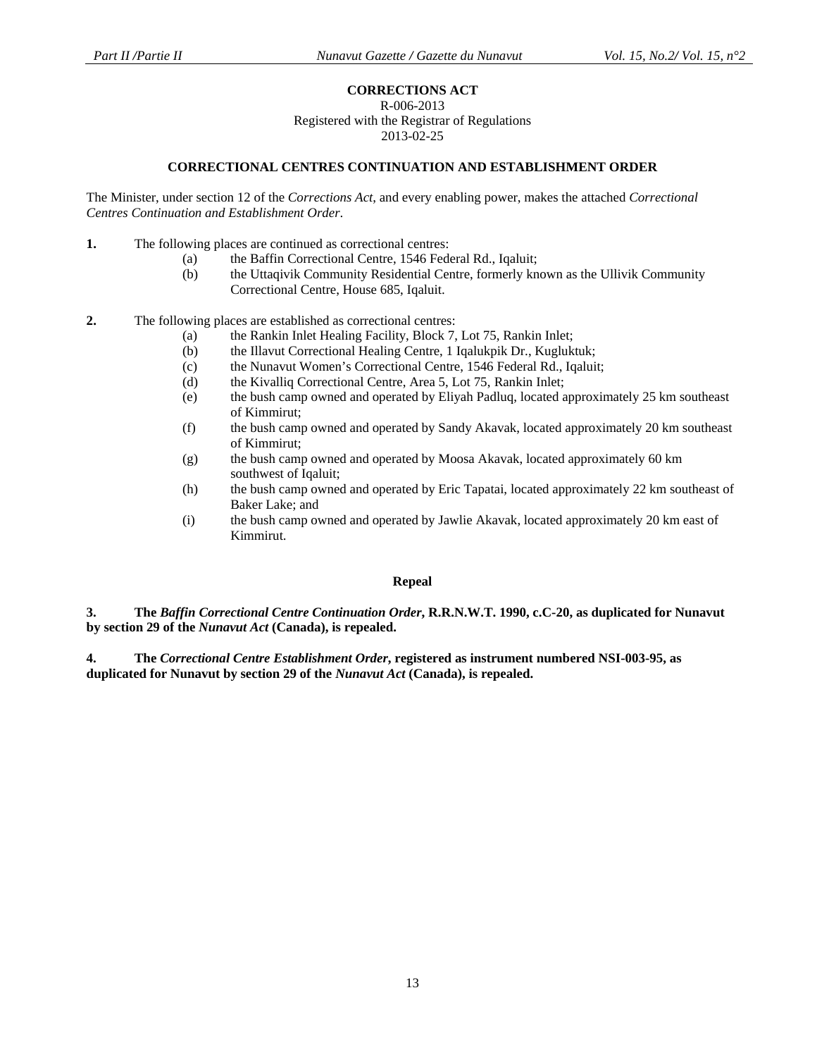# **CORRECTIONS ACT**

#### R-006-2013

Registered with the Registrar of Regulations 2013-02-25

#### **CORRECTIONAL CENTRES CONTINUATION AND ESTABLISHMENT ORDER**

The Minister, under section 12 of the *Corrections Act*, and every enabling power, makes the attached *Correctional Centres Continuation and Establishment Order*.

- **1.** The following places are continued as correctional centres:
	- (a) the Baffin Correctional Centre, 1546 Federal Rd., Iqaluit;
	- (b) the Uttaqivik Community Residential Centre, formerly known as the Ullivik Community Correctional Centre, House 685, Iqaluit.
- **2.** The following places are established as correctional centres:
	- (a) the Rankin Inlet Healing Facility, Block 7, Lot 75, Rankin Inlet;
	- (b) the Illavut Correctional Healing Centre, 1 Iqalukpik Dr., Kugluktuk;
	- (c) the Nunavut Women's Correctional Centre, 1546 Federal Rd., Iqaluit;
	- (d) the Kivalliq Correctional Centre, Area 5, Lot 75, Rankin Inlet;
	- (e) the bush camp owned and operated by Eliyah Padluq, located approximately 25 km southeast of Kimmirut;
	- (f) the bush camp owned and operated by Sandy Akavak, located approximately 20 km southeast of Kimmirut;
	- (g) the bush camp owned and operated by Moosa Akavak, located approximately 60 km southwest of Iqaluit;
	- (h) the bush camp owned and operated by Eric Tapatai, located approximately 22 km southeast of Baker Lake; and
	- (i) the bush camp owned and operated by Jawlie Akavak, located approximately 20 km east of Kimmirut.

#### **Repeal**

**3. The** *Baffin Correctional Centre Continuation Order***, R.R.N.W.T. 1990, c.C-20, as duplicated for Nunavut by section 29 of the** *Nunavut Act* **(Canada), is repealed.** 

**4. The** *Correctional Centre Establishment Order***, registered as instrument numbered NSI-003-95, as duplicated for Nunavut by section 29 of the** *Nunavut Act* **(Canada), is repealed.**